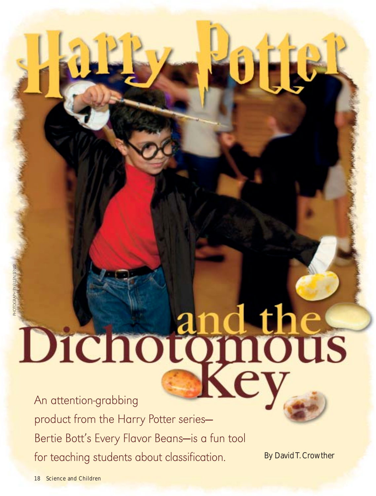# Dichotomous

product from the Harry Potter series— Bertie Bott's Every Flavor Beans-is a fun tool for teaching students about classification.

By David T. Crowther

OHU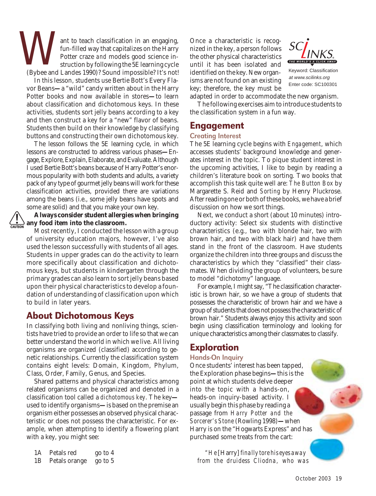ant to teach classification in an engaging, Once a characteristic is recog-<br>fun-filled way that capitalizes on the Harry nized in the key, a person follows<br>Potter craze and models good science in-<br>the other physical charac ant to teach classification in an engaging, fun-filled way that capitalizes on the Harry Potter craze *and* models good science instruction by following the 5E learning cycle (Bybee and Landes 1990)? Sound impossible? It's not!

In this lesson, students use Bertie Bott's Every Flavor Beans**—**a "wild" candy written about in the Harry Potter books and now available in stores**—**to learn about classification and dichotomous keys. In these activities, students sort jelly beans according to a key and then construct a key for a "new" flavor of beans. Students then build on their knowledge by classifying buttons and constructing their own dichotomous key.

The lesson follows the 5E learning cycle, in which lessons are constructed to address various phases**—**Engage, Explore, Explain, Elaborate, and Evaluate. Although I used Bertie Bott's beans because of Harry Potter's enormous popularity with both students and adults, a variety pack of any type of gourmet jelly beans will work for these classification activities, provided there are variations among the beans (i.e., some jelly beans have spots and some are solid) and that you make your own key.

### **Always consider student allergies when bringing any food item into the classroom.**

Most recently, I conducted the lesson with a group of university education majors, however, I've also used the lesson successfully with students of all ages. Students in upper grades can do the activity to learn more specifically about classification and dichotomous keys, but students in kindergarten through the primary grades can also learn to sort jelly beans based upon their physical characteristics to develop a foundation of understanding of classification upon which to build in later years.

# About Dichotomous Keys

In classifying both living and nonliving things, scientists have tried to provide an order to life so that we can better understand the world in which we live. All living organisms are organized (classified) according to genetic relationships. Currently the classification system contains eight levels: Domain, Kingdom, Phylum, Class, Order, Family, Genus, and Species.

Shared patterns and physical characteristics among related organisms can be organized and denoted in a classification tool called a *dichotomous key*. The key used to identify organisms**—**is based on the premise an organism either possesses an observed physical characteristic or does not possess the characteristic. For example, when attempting to identify a flowering plant with a key, you might see:

| 1А | Petals red    | go to 4 |
|----|---------------|---------|
| 1Β | Petals orange | go to 5 |

nized in the key, a person follows the other physical characteristics until it has been isolated and identified on the key. New organisms are not found on an existing key; therefore, the key must be



Keyword: Classification at www.scilinks.org Enter code: SC100301

adapted in order to accommodate the new organism.

The following exercises aim to introduce students to the classification system in a fun way.

# Engagement

### Creating Interest

The 5E learning cycle begins with *Engagement*, which accesses students' background knowledge and generates interest in the topic. To pique student interest in the upcoming activities, I like to begin by reading a children's literature book on sorting. Two books that accomplish this task quite well are: *The Button Box* by Margarette S. Reid and *Sorting* by Henry Pluckrose. After reading one or both of these books, we have a brief discussion on how we sort things.

Next, we conduct a short (about 10 minutes) introductory activity: Select six students with distinctive characteristics (e.g., two with blonde hair, two with brown hair, and two with black hair) and have them stand in the front of the classroom. Have students organize the children into three groups and discuss the characteristics by which they "classified" their classmates. When dividing the group of volunteers, be sure to model "dichotomy" language.

For example, I might say, "The classification characteristic is brown hair, so we have a group of students that possesses the characteristic of brown hair and we have a group of students that does not possess the characteristic of brown hair." Students always enjoy this activity and soon begin using classification terminology and looking for unique characteristics among their classmates to classify.

# Exploration

### Hands-On Inquiry

Once students' interest has been tapped, the Exploration phase begins**—**this is the point at which students delve deeper into the topic with a hands-on, heads-on inquiry-based activity. I usually begin this phase by reading a passage from *Harry Potter and the Sorcerer's Stone* (Rowling 1998)**—**when Harry is on the "Hogwarts Express" and has purchased some treats from the cart:

*"He* [Harry] *finally tore his eyes away from the druidess Cliodna, who was*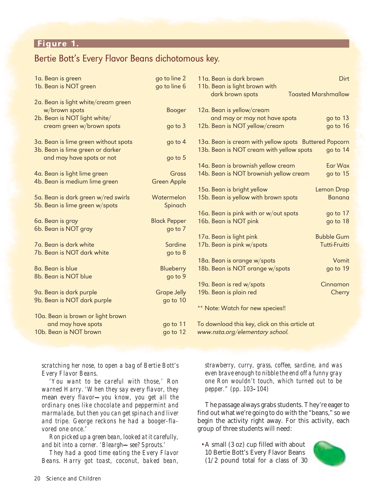# Figure 1.

# Bertie Bott's Every Flavor Beans dichotomous key.

| 1a. Bean is green<br>1b. Bean is NOT green | go to line 2<br>go to line 6 | 11a. Bean is dark brown<br>11b. Bean is light brown with | Dirt                       |
|--------------------------------------------|------------------------------|----------------------------------------------------------|----------------------------|
|                                            |                              | dark brown spots                                         | <b>Toasted Marshmallow</b> |
| 2a. Bean is light white/cream green        |                              |                                                          |                            |
| w/brown spots                              | <b>Booger</b>                | 12a. Bean is yellow/cream                                |                            |
| 2b. Bean is NOT light white/               |                              | and may or may not have spots                            | go to 13                   |
| cream green w/brown spots                  | go to 3                      | 12b. Bean is NOT yellow/cream                            | go to 16                   |
| 3a. Bean is lime green without spots       | go to $4$                    | 13a. Bean is cream with yellow spots Buttered Popcorn    |                            |
| 3b. Bean is lime green or darker           |                              | 13b. Bean is NOT cream with yellow spots                 | go to 14                   |
| and may have spots or not                  | go to 5                      |                                                          |                            |
|                                            |                              | 14a. Bean is brownish yellow cream                       | Ear Wax                    |
| 4a. Bean is light lime green               | Grass                        | 14b. Bean is NOT brownish yellow cream                   | go to 15                   |
| 4b. Bean is medium lime green              | <b>Green Apple</b>           |                                                          |                            |
|                                            |                              | 15a. Bean is bright yellow                               | <b>Lemon Drop</b>          |
| 5a. Bean is dark green w/red swirls        | Watermelon                   | 15b. Bean is yellow with brown spots                     | <b>Banana</b>              |
| 5b. Bean is lime green w/spots             | Spinach                      |                                                          |                            |
|                                            |                              | 16a. Bean is pink with or w/out spots                    | go to 17                   |
| 6a. Bean is gray                           | <b>Black Pepper</b>          | 16b. Bean is NOT pink                                    | go to 18                   |
| 6b. Bean is NOT gray                       | go to 7                      |                                                          |                            |
|                                            |                              | 17a. Bean is light pink                                  | <b>Bubble Gum</b>          |
| 7a. Bean is dark white                     | Sardine                      | 17b. Bean is pink w/spots                                | Tutti-Fruitti              |
| 7b. Bean is NOT dark white                 | go to 8                      |                                                          |                            |
| 8a. Bean is blue                           |                              | 18a. Bean is orange w/spots                              | Vomit                      |
| 8b. Bean is NOT blue                       | Blueberry                    | 18b. Bean is NOT orange w/spots                          | go to 19                   |
|                                            | go to 9                      | 19a. Bean is red w/spots                                 | Cinnamon                   |
| 9a. Bean is dark purple                    | <b>Grape Jelly</b>           | 19b. Bean is plain red                                   | Cherry                     |
| 9b. Bean is NOT dark purple                | go to 10                     |                                                          |                            |
|                                            |                              | ** Note: Watch for new species!!                         |                            |
| 10a. Bean is brown or light brown          |                              |                                                          |                            |
| and may have spots                         | go to 11                     | To download this key, click on this article at           |                            |
| 10b. Bean is NOT brown                     | go to 12                     | www.nsta.org/elementary school.                          |                            |
|                                            |                              |                                                          |                            |

*scratching her nose, to open a bag of Bertie Bott's Every Flavor Beans*.

*'You want to be careful with those,' Ron warned Harry*. *'When they say every flavor, they* mean *every flavor—you know, you get all the ordinary ones like chocolate and peppermint and marmalade, but then you can get spinach and liver and tripe. George reckons he had a booger-flavored one once*.'

*Ron picked up a green bean, looked at it carefully, and bit into a corner. 'Bleargh—see? Sprouts*.*'*

*They had a good time eating the Every Flavor Beans*. *Harry got toast, coconut, baked bean,*

*strawberry, curry, grass, coffee, sardine, and was even brave enough to nibble the end off a funny gray one Ron wouldn't touch, which turned out to be pepper." (pp. 103–104)*

The passage always grabs students. They're eager to find out what we're going to do with the "beans," so we begin the activity right away. For this activity, each group of three students will need:

• A small (3 oz) cup filled with about 10 Bertie Bott's Every Flavor Beans (1/2 pound total for a class of 30

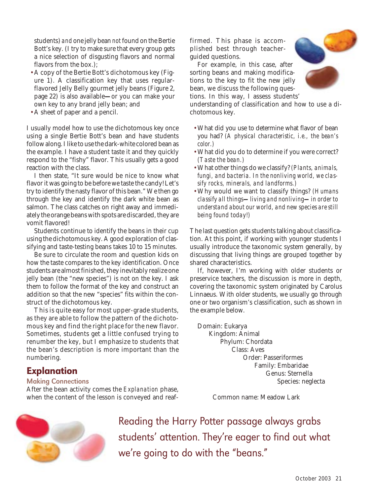students) *and* one jelly bean *not* found on the Bertie Bott's key. (I try to make sure that every group gets a nice selection of disgusting flavors and normal flavors from the box.);

- A copy of the Bertie Bott's dichotomous key (Figure 1). A classification key that uses regularflavored Jelly Belly gourmet jelly beans (Figure 2, page 22) is also available**—**or you can make your own key to any brand jelly bean; and
- A sheet of paper and a pencil.

I usually model how to use the dichotomous key once using a single Bertie Bott's bean and have students follow along. I like to use the dark-white colored bean as the example. I have a student taste it and they quickly respond to the "fishy" flavor. This usually gets a good reaction with the class.

I then state, "It sure would be nice to know what flavor it was going to be before we taste the candy! Let's try to identify the nasty flavor of this bean." We then go through the key and identify the dark white bean as salmon. The class catches on right away and immediately the orange beans with spots are discarded, they are vomit flavored!

Students continue to identify the beans in their cup using the dichotomous key. A good exploration of classifying and taste-testing beans takes 10 to 15 minutes.

Be sure to circulate the room and question kids on how the taste compares to the key identification. Once students are almost finished, they inevitably realize one jelly bean (the "new species") is not on the key. I ask them to follow the format of the key and construct an addition so that the new "species" fits within the construct of the dichotomous key.

This is quite easy for most upper-grade students, as they are able to follow the pattern of the dichotomous key and find the right place for the new flavor. Sometimes, students get a little confused trying to renumber the key, but I emphasize to students that the bean's description is more important than the numbering.

# **Explanation**

### Making Connections

After the bean activity comes the *Explanation* phase, when the content of the lesson is conveyed and reaf-

firmed. This phase is accomplished best through teacherguided questions.

For example, in this case, after sorting beans and making modifications to the key to fit the new jelly bean, we discuss the following questions. In this way, I assess students'



understanding of classification and how to use a dichotomous key.

- What did you use to determine what flavor of bean you had? *(A physical characteristic, i.e., the bean's color.)*
- What did you do to determine if you were correct? *(Taste the bean.)*
- What other things do we classify? *(Plants, animals, fungi, and bacteria. In the nonliving world, we classify rocks, minerals, and landforms.)*
- Why would we want to classify things? *(Humans classify all things—living and nonliving—in order to understand about our world, and new species are still being found today!)*

The last question gets students talking about classification. At this point, if working with younger students I usually introduce the taxonomic system generally, by discussing that living things are grouped together by shared characteristics.

If, however, I'm working with older students or preservice teachers, the discussion is more in depth, covering the taxonomic system originated by Carolus Linnaeus. With older students, we usually go through one or two organism's classification, such as shown in the example below.

Domain: Eukarya Kingdom: Animal Phylum: Chordata Class: Aves Order: Passeriformes Family: Embaridae Genus: Sternella Species: neglecta

Common name: Meadow Lark



Reading the Harry Potter passage always grabs students' attention. They're eager to find out what we're going to do with the "beans."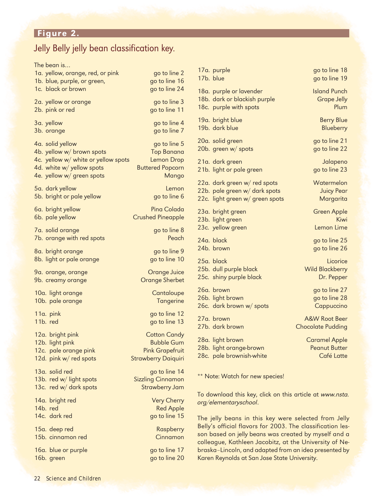# Jelly Belly jelly bean classification key.

The bean is…

| The bean is                         |                            |
|-------------------------------------|----------------------------|
| 1a. yellow, orange, red, or pink    | go to line 2               |
| 1b. blue, purple, or green,         | go to line 16              |
| 1c. black or brown                  | go to line 24              |
| 2a. yellow or orange                | go to line 3               |
| 2b. pink or red                     | go to line 11              |
| 3a. yellow                          | go to line 4               |
| 3b. orange                          | go to line 7               |
| 4a. solid yellow                    | go to line 5               |
| 4b. yellow w/ brown spots           | <b>Top Banana</b>          |
| 4c. yellow w/ white or yellow spots | <b>Lemon Drop</b>          |
| 4d. white w/ yellow spots           | <b>Buttered Popcorn</b>    |
| 4e. yellow w/ green spots           | Mango                      |
| 5a. dark yellow                     | Lemon                      |
| 5b. bright or pale yellow           | go to line 6               |
| 6a. bright yellow                   | Pina Colada                |
| 6b. pale yellow                     | <b>Crushed Pineapple</b>   |
| 7a. solid orange                    | go to line 8               |
| 7b. orange with red spots           | Peach                      |
| 8a. bright orange                   | go to line 9               |
| 8b. light or pale orange            | go to line 10              |
| 9a. orange, orange                  | Orange Juice               |
| 9b. creamy orange                   | <b>Orange Sherbet</b>      |
| 10a. light orange                   | Cantaloupe                 |
| 10b. pale orange                    | <b>Tangerine</b>           |
| 11a. pink                           | go to line 12              |
| 11b. red                            | go to line 13              |
| 12a. bright pink                    | <b>Cotton Candy</b>        |
| 12b. light pink                     | <b>Bubble Gum</b>          |
| 12c. pale orange pink               | <b>Pink Grapefruit</b>     |
| 12d. pink w/ red spots              | <b>Strawberry Daiquiri</b> |
| 13a. solid red                      | go to line 14              |
| 13b. red w/ light spots             | <b>Sizzling Cinnamon</b>   |
| 13c. red w/ dark spots              | <b>Strawberry Jam</b>      |
| 14a. bright red                     | <b>Very Cherry</b>         |
| 14b. red                            | <b>Red Apple</b>           |
| 14c. dark red                       | go to line 15              |
| 15a. deep red                       | Raspberry                  |
| 15b. cinnamon red                   | Cinnamon                   |
| 16a. blue or purple                 | go to line 17              |
| 16b. green                          | go to line 20              |

17a. purple go to line 18

18a. purple or lavender **Island Punch** 18b. dark or blackish purple Grape Jelly 18c. purple with spots **Plum** 

19a. bright blue Berry Blue 19b. dark blue Blueberry

20a. solid green and go to line 21 20b. green w/ spots go to line 22

21a. dark green and a state of the Jalapeno 21b. light or pale green go to line 23

22a. dark green w/ red spots Watermelon 22b. pale green w/ dark spots Tuicy Pear 22c. light green w/ green spots Margarita

23a. bright green Green Apple 23b. light green Kiwi 23c. yellow green and the control of the Lemon Lime

24a. black go to line 25

25a. black Licorice 25b. dull purple black Wild Blackberry 25c. shiny purple black Dr. Pepper

26a. brown go to line 27 26b. light brown go to line 28 26c. dark brown w/ spots Cappuccino

28a. light brown Caramel Apple 28b. light orange-brown Peanut Butter 28c. pale brownish-white Café Latte

17b. blue go to line 19

24b. brown go to line 26

27a. brown A&W Root Beer 27b. dark brown Chocolate Pudding

\*\* Note: Watch for new species!

To download this key, click on this article at www.nsta. org/elementaryschool.

The jelly beans in this key were selected from Jelly Belly's official flavors for 2003. The classification lesson based on jelly beans was created by myself and a colleague, Kathleen Jacobitz, at the University of Nebraska–Lincoln, and adapted from an idea presented by Karen Reynolds at San Jose State University.